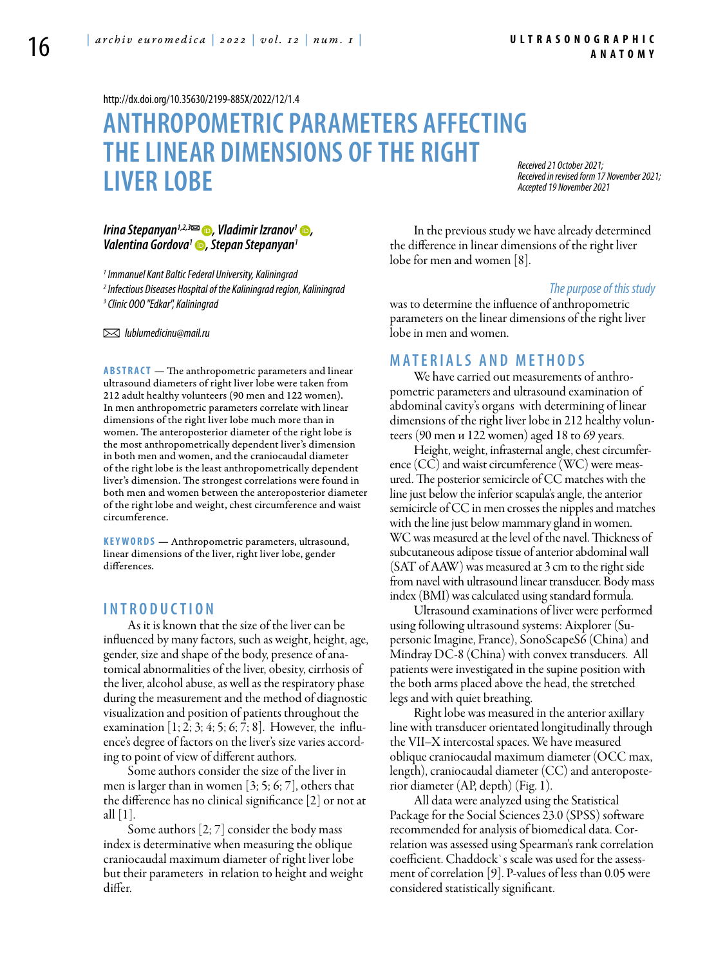<http://dx.doi.org/10.35630/2199-885X/2022/12/1.4>

# **Anthropometric parameters affecting the linear dimensions of the right liver lobe**

*Received 21 October 2021; Received in revised form 17 November 2021; Accepted 19 November 2021*

*[Irina Stepanyan1](https://orcid.org/0000-0002-5450-6272),2,3 , [Vladimir Izranov1](https://orcid.org/0000-0002-6440-5889) , [Valentina Gordova](https://orcid.org/0000-0001-5109-9862)1 , Stepan Stepanyan1*

*1 Immanuel Kant Baltic Federal University, Kaliningrad 2 Infectious Diseases Hospital of the Kaliningrad region, Kaliningrad 3 Clinic OOO "Edkar", Kaliningrad* 

 *lublumedicinu@mail.ru* 

**ABSTRACT** — The anthropometric parameters and linear ultrasound diameters of right liver lobe were taken from 212 adult healthy volunteers (90 men and 122 women). In men anthropometric parameters correlate with linear dimensions of the right liver lobe much more than in women. The anteroposterior diameter of the right lobe is the most anthropometrically dependent liver's dimension in both men and women, and the craniocaudal diameter of the right lobe is the least anthropometrically dependent liver's dimension. The strongest correlations were found in both men and women between the anteroposterior diameter of the right lobe and weight, chest circumference and waist circumference.

KEYWORDS — Anthropometric parameters, ultrasound, linear dimensions of the liver, right liver lobe, gender differences.

### **I n t r o d u c t i o n**

As it is known that the size of the liver can be influenced by many factors, such as weight, height, age, gender, size and shape of the body, presence of anatomical abnormalities of the liver, obesity, cirrhosis of the liver, alcohol abuse, as well as the respiratory phase during the measurement and the method of diagnostic visualization and position of patients throughout the examination  $[1; 2; 3; 4; 5; 6; 7; 8]$ . However, the influence's degree of factors on the liver's size varies according to point of view of different authors.

Some authors consider the size of the liver in men is larger than in women [3; 5; 6; 7], others that the difference has no clinical significance [2] or not at all [1].

Some authors [2; 7] consider the body mass index is determinative when measuring the oblique craniocaudal maximum diameter of right liver lobe but their parameters in relation to height and weight differ.

In the previous study we have already determined the difference in linear dimensions of the right liver lobe for men and women [8].

#### *The purpose of this study*

was to determine the influence of anthropometric parameters on the linear dimensions of the right liver lobe in men and women.

### **Mat e r i a l s a n d m e t h o d s**

We have carried out measurements of anthropometric parameters and ultrasound examination of abdominal cavity's organs with determining of linear dimensions of the right liver lobe in 212 healthy volunteers (90 men и 122 women) aged 18 to 69 years.

Height, weight, infrasternal angle, chest circumference (CC) and waist circumference (WC) were measured. The posterior semicircle of CC matches with the line just below the inferior scapula's angle, the anterior semicircle of CC in men crosses the nipples and matches with the line just below mammary gland in women. WC was measured at the level of the navel. Thickness of subcutaneous adipose tissue of anterior abdominal wall (SAT of AAW) was measured at 3 cm to the right side from navel with ultrasound linear transducer. Body mass index (BMI) was calculated using standard formula.

Ultrasound examinations of liver were performed using following ultrasound systems: Aixplorer (Supersonic Imagine, France), SonoScapeS6 (China) and Mindray DC-8 (China) with convex transducers. All patients were investigated in the supine position with the both arms placed above the head, the stretched legs and with quiet breathing.

Right lobe was measured in the anterior axillary line with transducer orientated longitudinally through the VII–X intercostal spaces. We have measured oblique craniocaudal maximum diameter (OCC max, length), craniocaudal diameter (CC) and anteroposterior diameter (AP, depth) (Fig. 1).

All data were analyzed using the Statistical Package for the Social Sciences 23.0 (SPSS) software recommended for analysis of biomedical data. Correlation was assessed using Spearman's rank correlation coefficient. Chaddock`s scale was used for the assessment of correlation [9]. P-values of less than 0.05 were considered statistically significant.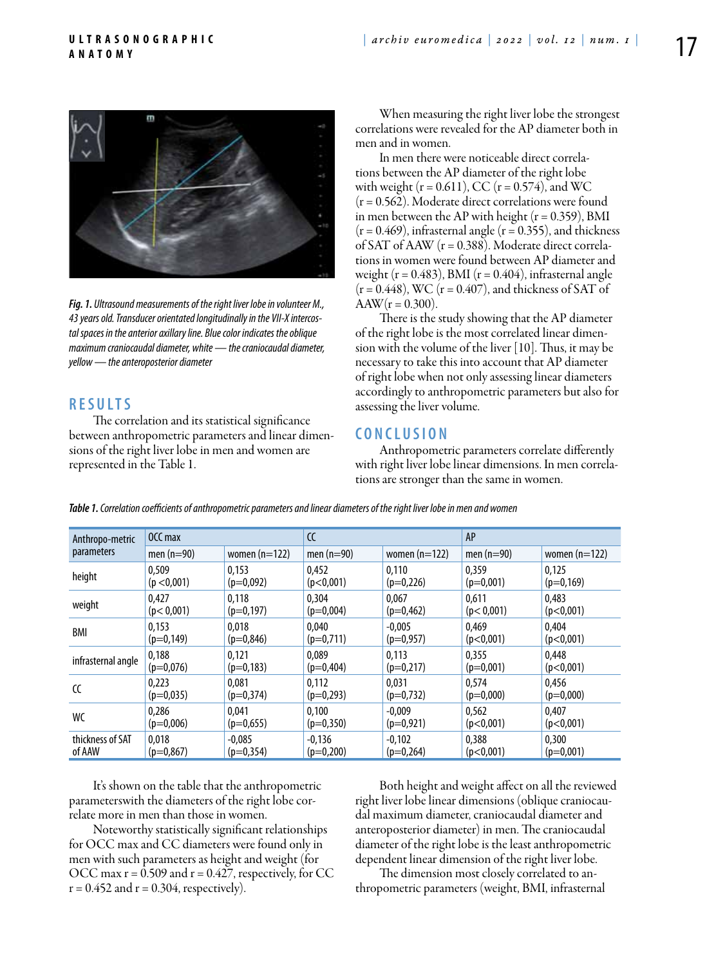

*Fig. 1. Ultrasound measurements of the right liver lobe in volunteer M., 43 years old. Transducer orientated longitudinally in the VII-X intercostal spaces in the anterior axillary line. Blue color indicates the oblique maximum craniocaudal diameter, white — the craniocaudal diameter, yellow — the anteroposterior diameter*

## **R e s u l t s**

The correlation and its statistical significance between anthropometric parameters and linear dimensions of the right liver lobe in men and women are represented in the Table 1.

When measuring the right liver lobe the strongest correlations were revealed for the AP diameter both in men and in women.

In men there were noticeable direct correlations between the AP diameter of the right lobe with weight ( $r = 0.611$ ), CC ( $r = 0.574$ ), and WC  $(r = 0.562)$ . Moderate direct correlations were found in men between the AP with height  $(r = 0.359)$ , BMI  $(r = 0.469)$ , infrasternal angle  $(r = 0.355)$ , and thickness of SAT of AAW  $(r = 0.388)$ . Moderate direct correlations in women were found between AP diameter and weight ( $r = 0.483$ ), BMI ( $r = 0.404$ ), infrasternal angle  $(r = 0.448)$ , WC  $(r = 0.407)$ , and thickness of SAT of  $AAW(r = 0.300)$ .

There is the study showing that the AP diameter of the right lobe is the most correlated linear dimension with the volume of the liver [10]. Thus, it may be necessary to take this into account that AP diameter of right lobe when not only assessing linear diameters accordingly to anthropometric parameters but also for assessing the liver volume.

#### **C o n c l u s i o n**

Anthropometric parameters correlate differently with right liver lobe linear dimensions. In men correlations are stronger than the same in women.

| Anthropo-metric<br>parameters | OCC max      |                 | CC           |                 | AP           |                 |
|-------------------------------|--------------|-----------------|--------------|-----------------|--------------|-----------------|
|                               | men $(n=90)$ | women $(n=122)$ | men $(n=90)$ | women $(n=122)$ | men $(n=90)$ | women $(n=122)$ |
| height                        | 0.509        | 0.153           | 0.452        | 0.110           | 0.359        | 0.125           |
|                               | (p < 0,001)  | $(p=0,092)$     | (p<0,001)    | $(p=0,226)$     | $(p=0,001)$  | $(p=0,169)$     |
| weight                        | 0,427        | 0,118           | 0.304        | 0.067           | 0.611        | 0,483           |
|                               | (p < 0.001)  | $(p=0, 197)$    | $(p=0,004)$  | $(p=0,462)$     | (p < 0,001)  | (p<0.001)       |
| BMI                           | 0,153        | 0.018           | 0,040        | $-0.005$        | 0,469        | 0,404           |
|                               | $(p=0, 149)$ | $(p=0.846)$     | $(p=0.711)$  | $(p=0,957)$     | (p<0,001)    | (p<0,001)       |
| infrasternal angle            | 0,188        | 0.121           | 0.089        | 0.113           | 0.355        | 0.448           |
|                               | $(p=0,076)$  | $(p=0,183)$     | $(p=0,404)$  | $(p=0,217)$     | $(p=0,001)$  | (p<0,001)       |
| CC                            | 0.223        | 0.081           | 0.112        | 0.031           | 0.574        | 0.456           |
|                               | $(p=0.035)$  | $(p=0.374)$     | $(p=0,293)$  | $(p=0,732)$     | $(p=0,000)$  | $(p=0,000)$     |
| WC                            | 0.286        | 0.041           | 0.100        | $-0.009$        | 0.562        | 0.407           |
|                               | $(p=0,006)$  | $(p=0,655)$     | $(p=0.350)$  | $(p=0,921)$     | (p<0,001)    | (p<0,001)       |
| thickness of SAT              | 0,018        | $-0.085$        | $-0.136$     | $-0,102$        | 0,388        | 0,300           |
| of AAW                        | $(p=0.867)$  | $(p=0,354)$     | $(p=0,200)$  | $(p=0,264)$     | (p<0,001)    | $(p=0,001)$     |

*Table 1. Correlationcoefficients of anthropometric parameters and linear diameters of the right liver lobe in men and women*

It's shown on the table that the anthropometric parameterswith the diameters of the right lobe correlate more in men than those in women.

Noteworthy statistically significant relationships for OCC max and CC diameters were found only in men with such parameters as height and weight (for OCC max  $r = 0.509$  and  $r = 0.427$ , respectively, for CC  $r = 0.452$  and  $r = 0.304$ , respectively).

Both height and weight affect on all the reviewed right liver lobe linear dimensions (oblique craniocaudal maximum diameter, craniocaudal diameter and anteroposterior diameter) in men. The craniocaudal diameter of the right lobe is the least anthropometric dependent linear dimension of the right liver lobe.

The dimension most closely correlated to anthropometric parameters (weight, BMI, infrasternal